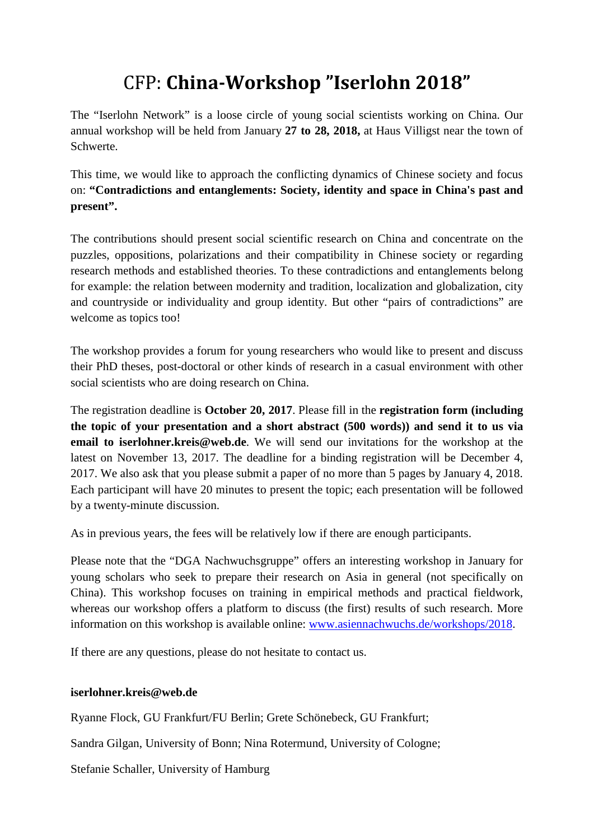## CFP: **China-Workshop "Iserlohn 2018"**

The "Iserlohn Network" is a loose circle of young social scientists working on China. Our annual workshop will be held from January **27 to 28, 2018,** at Haus Villigst near the town of Schwerte.

This time, we would like to approach the conflicting dynamics of Chinese society and focus on: **"Contradictions and entanglements: Society, identity and space in China's past and present".**

The contributions should present social scientific research on China and concentrate on the puzzles, oppositions, polarizations and their compatibility in Chinese society or regarding research methods and established theories. To these contradictions and entanglements belong for example: the relation between modernity and tradition, localization and globalization, city and countryside or individuality and group identity. But other "pairs of contradictions" are welcome as topics too!

The workshop provides a forum for young researchers who would like to present and discuss their PhD theses, post-doctoral or other kinds of research in a casual environment with other social scientists who are doing research on China.

The registration deadline is **October 20, 2017**. Please fill in the **registration form (including the topic of your presentation and a short abstract (500 words)) and send it to us via email to iserlohner.kreis@web.de**. We will send our invitations for the workshop at the latest on November 13, 2017. The deadline for a binding registration will be December 4, 2017. We also ask that you please submit a paper of no more than 5 pages by January 4, 2018. Each participant will have 20 minutes to present the topic; each presentation will be followed by a twenty-minute discussion.

As in previous years, the fees will be relatively low if there are enough participants.

Please note that the "DGA Nachwuchsgruppe" offers an interesting workshop in January for young scholars who seek to prepare their research on Asia in general (not specifically on China). This workshop focuses on training in empirical methods and practical fieldwork, whereas our workshop offers a platform to discuss (the first) results of such research. More information on this workshop is available online: [www.asiennachwuchs.de/workshops/2018.](http://www.asiennachwuchs.de/workshops/2018)

If there are any questions, please do not hesitate to contact us.

## **iserlohner.kreis@web.de**

Ryanne Flock, GU Frankfurt/FU Berlin; Grete Schönebeck, GU Frankfurt;

Sandra Gilgan, University of Bonn; Nina Rotermund, University of Cologne;

Stefanie Schaller, University of Hamburg